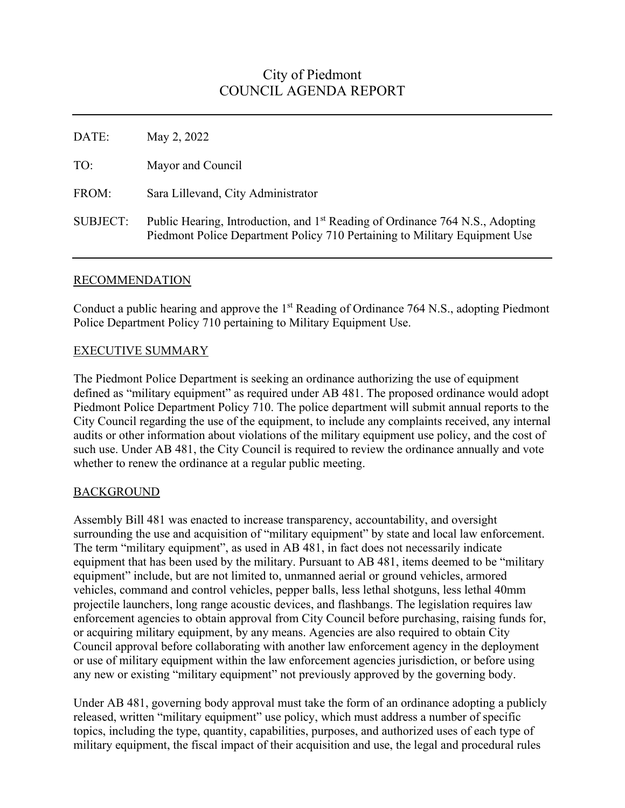# City of Piedmont COUNCIL AGENDA REPORT

| DATE:    | May 2, 2022                                                                                                                                                             |
|----------|-------------------------------------------------------------------------------------------------------------------------------------------------------------------------|
| TO:      | Mayor and Council                                                                                                                                                       |
| FROM:    | Sara Lillevand, City Administrator                                                                                                                                      |
| SUBJECT: | Public Hearing, Introduction, and 1 <sup>st</sup> Reading of Ordinance 764 N.S., Adopting<br>Piedmont Police Department Policy 710 Pertaining to Military Equipment Use |

### RECOMMENDATION

Conduct a public hearing and approve the 1<sup>st</sup> Reading of Ordinance 764 N.S., adopting Piedmont Police Department Policy 710 pertaining to Military Equipment Use.

# EXECUTIVE SUMMARY

The Piedmont Police Department is seeking an ordinance authorizing the use of equipment defined as "military equipment" as required under AB 481. The proposed ordinance would adopt Piedmont Police Department Policy 710. The police department will submit annual reports to the City Council regarding the use of the equipment, to include any complaints received, any internal audits or other information about violations of the military equipment use policy, and the cost of such use. Under AB 481, the City Council is required to review the ordinance annually and vote whether to renew the ordinance at a regular public meeting.

# BACKGROUND

Assembly Bill 481 was enacted to increase transparency, accountability, and oversight surrounding the use and acquisition of "military equipment" by state and local law enforcement. The term "military equipment", as used in AB 481, in fact does not necessarily indicate equipment that has been used by the military. Pursuant to AB 481, items deemed to be "military equipment" include, but are not limited to, unmanned aerial or ground vehicles, armored vehicles, command and control vehicles, pepper balls, less lethal shotguns, less lethal 40mm projectile launchers, long range acoustic devices, and flashbangs. The legislation requires law enforcement agencies to obtain approval from City Council before purchasing, raising funds for, or acquiring military equipment, by any means. Agencies are also required to obtain City Council approval before collaborating with another law enforcement agency in the deployment or use of military equipment within the law enforcement agencies jurisdiction, or before using any new or existing "military equipment" not previously approved by the governing body.

Under AB 481, governing body approval must take the form of an ordinance adopting a publicly released, written "military equipment" use policy, which must address a number of specific topics, including the type, quantity, capabilities, purposes, and authorized uses of each type of military equipment, the fiscal impact of their acquisition and use, the legal and procedural rules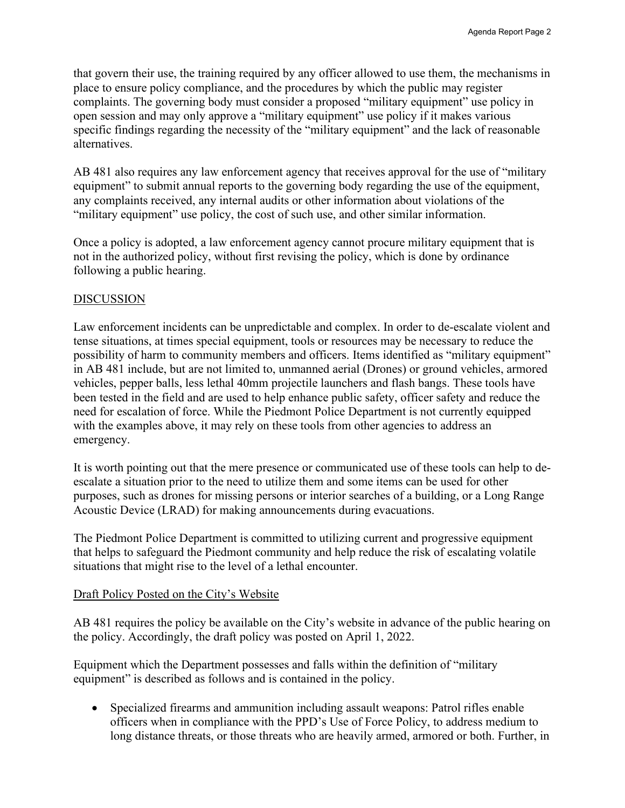that govern their use, the training required by any officer allowed to use them, the mechanisms in place to ensure policy compliance, and the procedures by which the public may register complaints. The governing body must consider a proposed "military equipment" use policy in open session and may only approve a "military equipment" use policy if it makes various specific findings regarding the necessity of the "military equipment" and the lack of reasonable alternatives.

AB 481 also requires any law enforcement agency that receives approval for the use of "military equipment" to submit annual reports to the governing body regarding the use of the equipment, any complaints received, any internal audits or other information about violations of the "military equipment" use policy, the cost of such use, and other similar information.

Once a policy is adopted, a law enforcement agency cannot procure military equipment that is not in the authorized policy, without first revising the policy, which is done by ordinance following a public hearing.

### DISCUSSION

Law enforcement incidents can be unpredictable and complex. In order to de-escalate violent and tense situations, at times special equipment, tools or resources may be necessary to reduce the possibility of harm to community members and officers. Items identified as "military equipment" in AB 481 include, but are not limited to, unmanned aerial (Drones) or ground vehicles, armored vehicles, pepper balls, less lethal 40mm projectile launchers and flash bangs. These tools have been tested in the field and are used to help enhance public safety, officer safety and reduce the need for escalation of force. While the Piedmont Police Department is not currently equipped with the examples above, it may rely on these tools from other agencies to address an emergency.

It is worth pointing out that the mere presence or communicated use of these tools can help to deescalate a situation prior to the need to utilize them and some items can be used for other purposes, such as drones for missing persons or interior searches of a building, or a Long Range Acoustic Device (LRAD) for making announcements during evacuations.

The Piedmont Police Department is committed to utilizing current and progressive equipment that helps to safeguard the Piedmont community and help reduce the risk of escalating volatile situations that might rise to the level of a lethal encounter.

### Draft Policy Posted on the City's Website

AB 481 requires the policy be available on the City's website in advance of the public hearing on the policy. Accordingly, the draft policy was posted on April 1, 2022.

Equipment which the Department possesses and falls within the definition of "military equipment" is described as follows and is contained in the policy.

• Specialized firearms and ammunition including assault weapons: Patrol rifles enable officers when in compliance with the PPD's Use of Force Policy, to address medium to long distance threats, or those threats who are heavily armed, armored or both. Further, in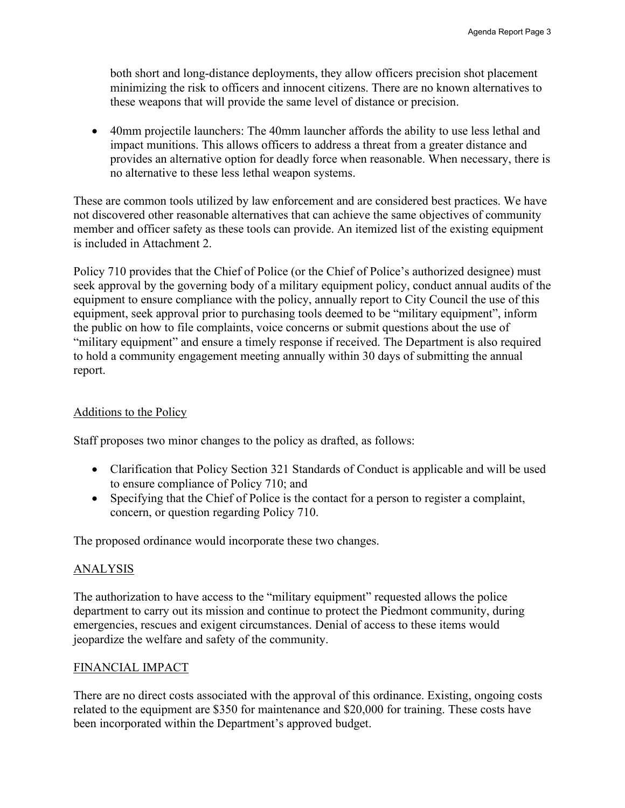both short and long-distance deployments, they allow officers precision shot placement minimizing the risk to officers and innocent citizens. There are no known alternatives to these weapons that will provide the same level of distance or precision.

• 40mm projectile launchers: The 40mm launcher affords the ability to use less lethal and impact munitions. This allows officers to address a threat from a greater distance and provides an alternative option for deadly force when reasonable. When necessary, there is no alternative to these less lethal weapon systems.

These are common tools utilized by law enforcement and are considered best practices. We have not discovered other reasonable alternatives that can achieve the same objectives of community member and officer safety as these tools can provide. An itemized list of the existing equipment is included in Attachment 2.

Policy 710 provides that the Chief of Police (or the Chief of Police's authorized designee) must seek approval by the governing body of a military equipment policy, conduct annual audits of the equipment to ensure compliance with the policy, annually report to City Council the use of this equipment, seek approval prior to purchasing tools deemed to be "military equipment", inform the public on how to file complaints, voice concerns or submit questions about the use of "military equipment" and ensure a timely response if received. The Department is also required to hold a community engagement meeting annually within 30 days of submitting the annual report.

### Additions to the Policy

Staff proposes two minor changes to the policy as drafted, as follows:

- Clarification that Policy Section 321 Standards of Conduct is applicable and will be used to ensure compliance of Policy 710; and
- Specifying that the Chief of Police is the contact for a person to register a complaint, concern, or question regarding Policy 710.

The proposed ordinance would incorporate these two changes.

### ANALYSIS

The authorization to have access to the "military equipment" requested allows the police department to carry out its mission and continue to protect the Piedmont community, during emergencies, rescues and exigent circumstances. Denial of access to these items would jeopardize the welfare and safety of the community.

### FINANCIAL IMPACT

There are no direct costs associated with the approval of this ordinance. Existing, ongoing costs related to the equipment are \$350 for maintenance and \$20,000 for training. These costs have been incorporated within the Department's approved budget.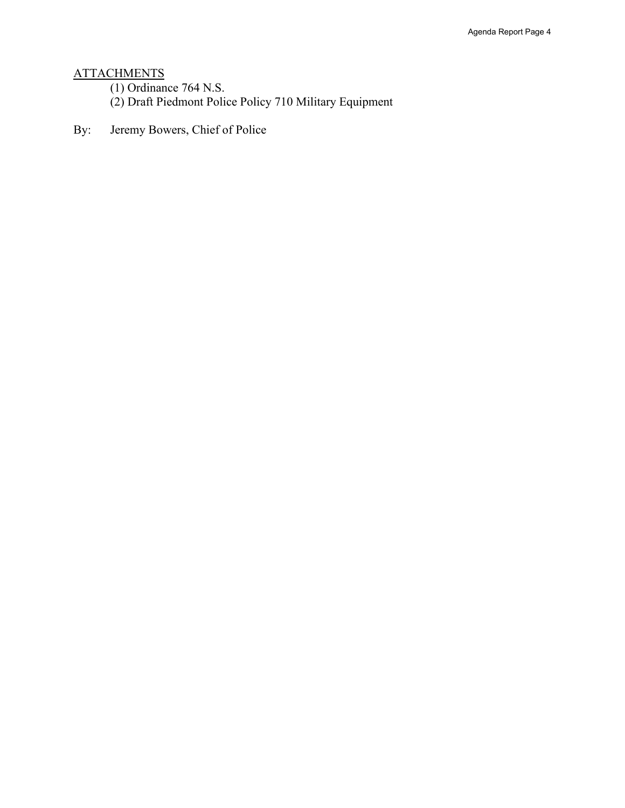### ATTACHMENTS

(1) Ordinance 764 N.S.

(2) Draft Piedmont Police Policy 710 Military Equipment

By: Jeremy Bowers, Chief of Police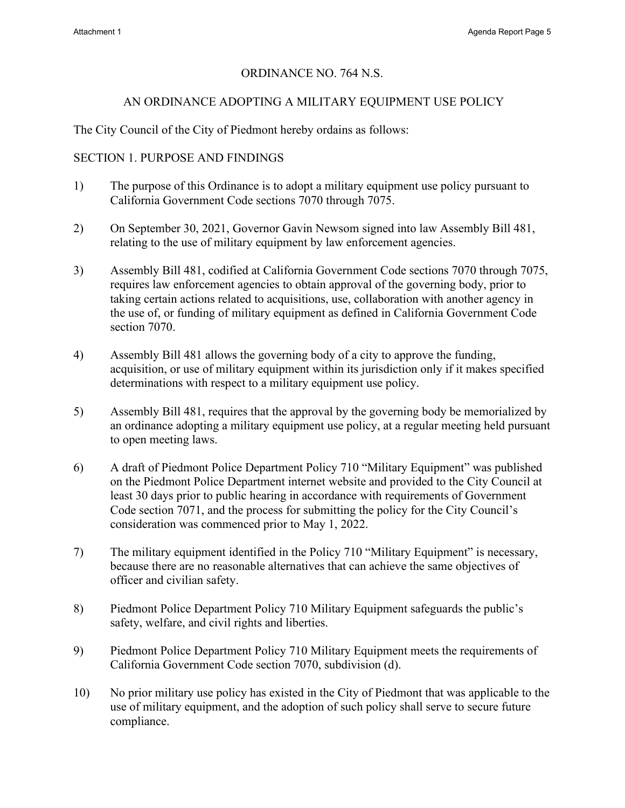# ORDINANCE NO. 764 N.S.

# AN ORDINANCE ADOPTING A MILITARY EQUIPMENT USE POLICY

The City Council of the City of Piedmont hereby ordains as follows:

# SECTION 1. PURPOSE AND FINDINGS

- 1) The purpose of this Ordinance is to adopt a military equipment use policy pursuant to California Government Code sections 7070 through 7075.
- 2) On September 30, 2021, Governor Gavin Newsom signed into law Assembly Bill 481, relating to the use of military equipment by law enforcement agencies.
- 3) Assembly Bill 481, codified at California Government Code sections 7070 through 7075, requires law enforcement agencies to obtain approval of the governing body, prior to taking certain actions related to acquisitions, use, collaboration with another agency in the use of, or funding of military equipment as defined in California Government Code section 7070.
- 4) Assembly Bill 481 allows the governing body of a city to approve the funding, acquisition, or use of military equipment within its jurisdiction only if it makes specified determinations with respect to a military equipment use policy.
- 5) Assembly Bill 481, requires that the approval by the governing body be memorialized by an ordinance adopting a military equipment use policy, at a regular meeting held pursuant to open meeting laws.
- 6) A draft of Piedmont Police Department Policy 710 "Military Equipment" was published on the Piedmont Police Department internet website and provided to the City Council at least 30 days prior to public hearing in accordance with requirements of Government Code section 7071, and the process for submitting the policy for the City Council's consideration was commenced prior to May 1, 2022.
- 7) The military equipment identified in the Policy 710 "Military Equipment" is necessary, because there are no reasonable alternatives that can achieve the same objectives of officer and civilian safety.
- 8) Piedmont Police Department Policy 710 Military Equipment safeguards the public's safety, welfare, and civil rights and liberties.
- 9) Piedmont Police Department Policy 710 Military Equipment meets the requirements of California Government Code section 7070, subdivision (d).
- 10) No prior military use policy has existed in the City of Piedmont that was applicable to the use of military equipment, and the adoption of such policy shall serve to secure future compliance.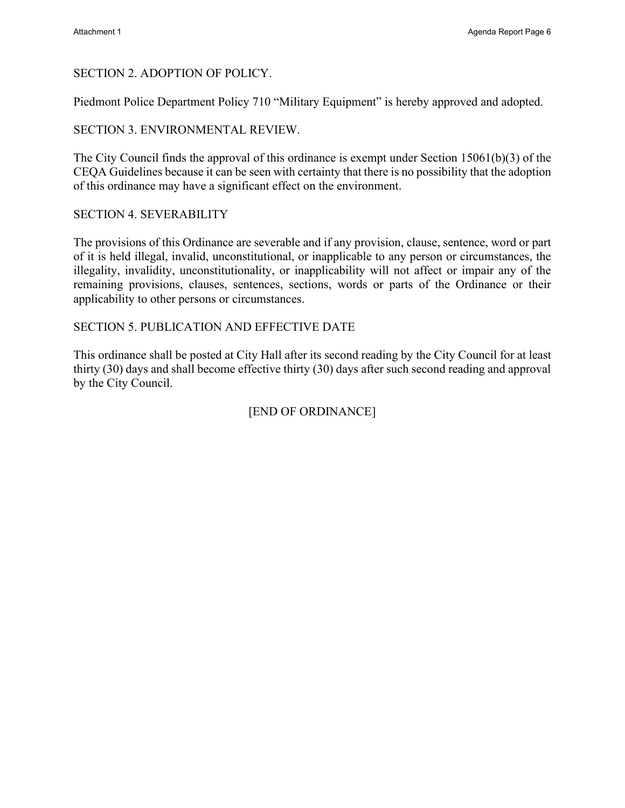### SECTION 2. ADOPTION OF POLICY.

Piedmont Police Department Policy 710 "Military Equipment" is hereby approved and adopted.

### SECTION 3. ENVIRONMENTAL REVIEW.

The City Council finds the approval of this ordinance is exempt under Section 15061(b)(3) of the CEQA Guidelines because it can be seen with certainty that there is no possibility that the adoption of this ordinance may have a significant effect on the environment.

### SECTION 4. SEVERABILITY

The provisions of this Ordinance are severable and if any provision, clause, sentence, word or part of it is held illegal, invalid, unconstitutional, or inapplicable to any person or circumstances, the illegality, invalidity, unconstitutionality, or inapplicability will not affect or impair any of the remaining provisions, clauses, sentences, sections, words or parts of the Ordinance or their applicability to other persons or circumstances.

### SECTION 5. PUBLICATION AND EFFECTIVE DATE

This ordinance shall be posted at City Hall after its second reading by the City Council for at least thirty (30) days and shall become effective thirty (30) days after such second reading and approval by the City Council.

[END OF ORDINANCE]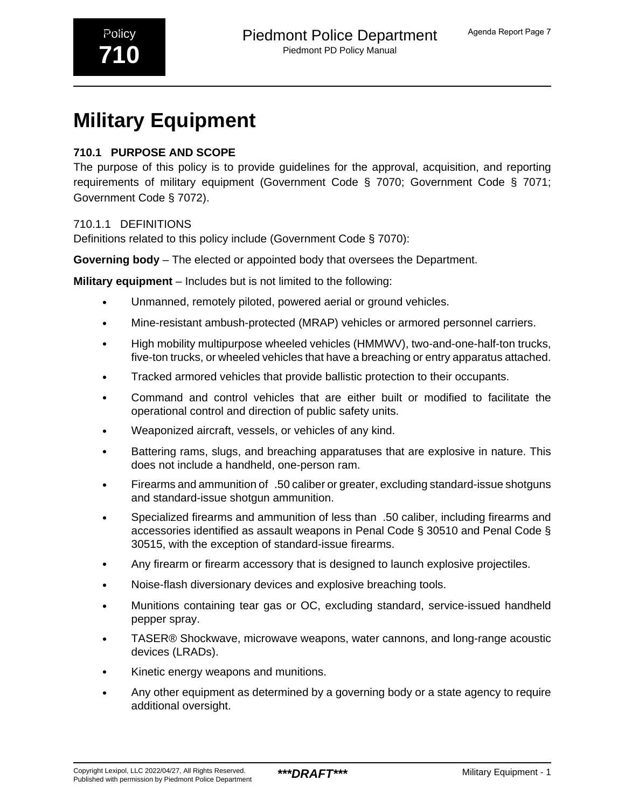# **710.1 PURPOSE AND SCOPE**

The purpose of this policy is to provide guidelines for the approval, acquisition, and reporting requirements of military equipment (Government Code § 7070; Government Code § 7071; Government Code § 7072).

# 710.1.1 DEFINITIONS

Definitions related to this policy include (Government Code § 7070):

**Governing body** – The elected or appointed body that oversees the Department.

**Military equipment** – Includes but is not limited to the following:

- Unmanned, remotely piloted, powered aerial or ground vehicles.
- Mine-resistant ambush-protected (MRAP) vehicles or armored personnel carriers.
- High mobility multipurpose wheeled vehicles (HMMWV), two-and-one-half-ton trucks, five-ton trucks, or wheeled vehicles that have a breaching or entry apparatus attached.
- Tracked armored vehicles that provide ballistic protection to their occupants.
- Command and control vehicles that are either built or modified to facilitate the operational control and direction of public safety units.
- Weaponized aircraft, vessels, or vehicles of any kind.
- Battering rams, slugs, and breaching apparatuses that are explosive in nature. This does not include a handheld, one-person ram.
- Firearms and ammunition of\_.50 caliber or greater, excluding standard-issue shotguns and standard-issue shotgun ammunition.
- Specialized firearms and ammunition of less than\_.50 caliber, including firearms and accessories identified as assault weapons in Penal Code § 30510 and Penal Code § 30515, with the exception of standard-issue firearms.
- Any firearm or firearm accessory that is designed to launch explosive projectiles.
- Noise-flash diversionary devices and explosive breaching tools.
- Munitions containing tear gas or OC, excluding standard, service-issued handheld pepper spray.
- TASER® Shockwave, microwave weapons, water cannons, and long-range acoustic devices (LRADs).
- Kinetic energy weapons and munitions.
- Any other equipment as determined by a governing body or a state agency to require additional oversight.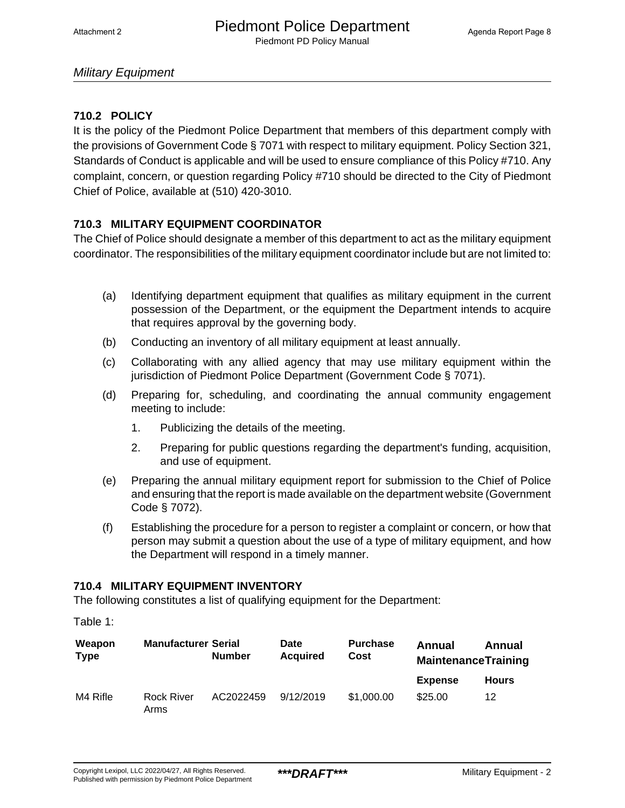# **710.2 POLICY**

It is the policy of the Piedmont Police Department that members of this department comply with the provisions of Government Code § 7071 with respect to military equipment. Policy Section 321, Standards of Conduct is applicable and will be used to ensure compliance of this Policy #710. Any complaint, concern, or question regarding Policy #710 should be directed to the City of Piedmont Chief of Police, available at (510) 420-3010.

# **710.3 MILITARY EQUIPMENT COORDINATOR**

The Chief of Police should designate a member of this department to act as the military equipment coordinator. The responsibilities of the military equipment coordinator include but are not limited to:

- (a) Identifying department equipment that qualifies as military equipment in the current possession of the Department, or the equipment the Department intends to acquire that requires approval by the governing body.
- (b) Conducting an inventory of all military equipment at least annually.
- (c) Collaborating with any allied agency that may use military equipment within the jurisdiction of Piedmont Police Department (Government Code § 7071).
- (d) Preparing for, scheduling, and coordinating the annual community engagement meeting to include:
	- 1. Publicizing the details of the meeting.
	- 2. Preparing for public questions regarding the department's funding, acquisition, and use of equipment.
- (e) Preparing the annual military equipment report for submission to the Chief of Police and ensuring that the report is made available on the department website (Government Code § 7072).
- (f) Establishing the procedure for a person to register a complaint or concern, or how that person may submit a question about the use of a type of military equipment, and how the Department will respond in a timely manner.

### **710.4 MILITARY EQUIPMENT INVENTORY**

The following constitutes a list of qualifying equipment for the Department:

Table 1:

| Weapon<br><b>Type</b> | <b>Manufacturer Serial</b> | <b>Number</b> | <b>Date</b><br><b>Acquired</b> | <b>Purchase</b><br>Cost | Annual<br>Annual<br><b>MaintenanceTraining</b> |              |
|-----------------------|----------------------------|---------------|--------------------------------|-------------------------|------------------------------------------------|--------------|
|                       |                            |               |                                |                         | <b>Expense</b>                                 | <b>Hours</b> |
| M4 Rifle              | <b>Rock River</b><br>Arms  | AC2022459     | 9/12/2019                      | \$1,000.00              | \$25.00                                        | 12           |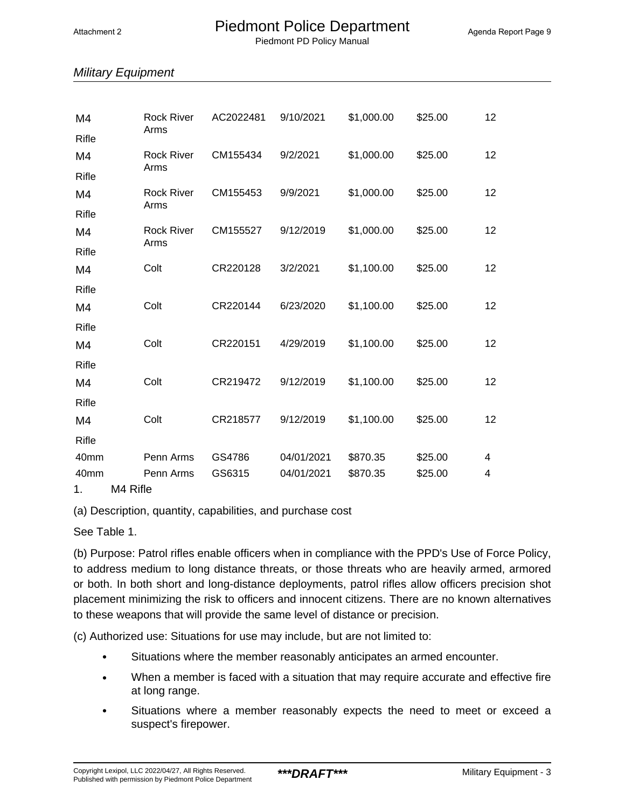Piedmont PD Policy Manual

# Military Equipment

| M4           | <b>Rock River</b><br>Arms |  | AC2022481 | 9/10/2021  | \$1,000.00 | \$25.00 | 12 |  |
|--------------|---------------------------|--|-----------|------------|------------|---------|----|--|
| Rifle        |                           |  |           |            |            |         |    |  |
| M4           | <b>Rock River</b><br>Arms |  | CM155434  | 9/2/2021   | \$1,000.00 | \$25.00 | 12 |  |
| <b>Rifle</b> |                           |  |           |            |            |         |    |  |
| M4           | <b>Rock River</b>         |  | CM155453  | 9/9/2021   | \$1,000.00 | \$25.00 | 12 |  |
| Rifle        | Arms                      |  |           |            |            |         |    |  |
| M4           | <b>Rock River</b>         |  | CM155527  | 9/12/2019  | \$1,000.00 | \$25.00 | 12 |  |
| Rifle        | Arms                      |  |           |            |            |         |    |  |
| M4           | Colt                      |  | CR220128  | 3/2/2021   | \$1,100.00 | \$25.00 | 12 |  |
| Rifle        |                           |  |           |            |            |         |    |  |
| M4           | Colt                      |  | CR220144  | 6/23/2020  | \$1,100.00 | \$25.00 | 12 |  |
| Rifle        |                           |  |           |            |            |         |    |  |
| M4           | Colt                      |  | CR220151  | 4/29/2019  | \$1,100.00 | \$25.00 | 12 |  |
| <b>Rifle</b> |                           |  |           |            |            |         |    |  |
| M4           | Colt                      |  | CR219472  | 9/12/2019  | \$1,100.00 | \$25.00 | 12 |  |
| <b>Rifle</b> |                           |  |           |            |            |         |    |  |
| M4           | Colt                      |  | CR218577  | 9/12/2019  | \$1,100.00 | \$25.00 | 12 |  |
| Rifle        |                           |  |           |            |            |         |    |  |
| 40mm         | Penn Arms                 |  | GS4786    | 04/01/2021 | \$870.35   | \$25.00 | 4  |  |
| 40mm         | Penn Arms                 |  | GS6315    | 04/01/2021 | \$870.35   | \$25.00 | 4  |  |
| 1.           | M4 Rifle                  |  |           |            |            |         |    |  |

(a) Description, quantity, capabilities, and purchase cost

See Table 1.

(b) Purpose: Patrol rifles enable officers when in compliance with the PPD's Use of Force Policy, to address medium to long distance threats, or those threats who are heavily armed, armored or both. In both short and long-distance deployments, patrol rifles allow officers precision shot placement minimizing the risk to officers and innocent citizens. There are no known alternatives to these weapons that will provide the same level of distance or precision.

(c) Authorized use: Situations for use may include, but are not limited to:

- Situations where the member reasonably anticipates an armed encounter.
- When a member is faced with a situation that may require accurate and effective fire at long range.
- Situations where a member reasonably expects the need to meet or exceed a suspect's firepower.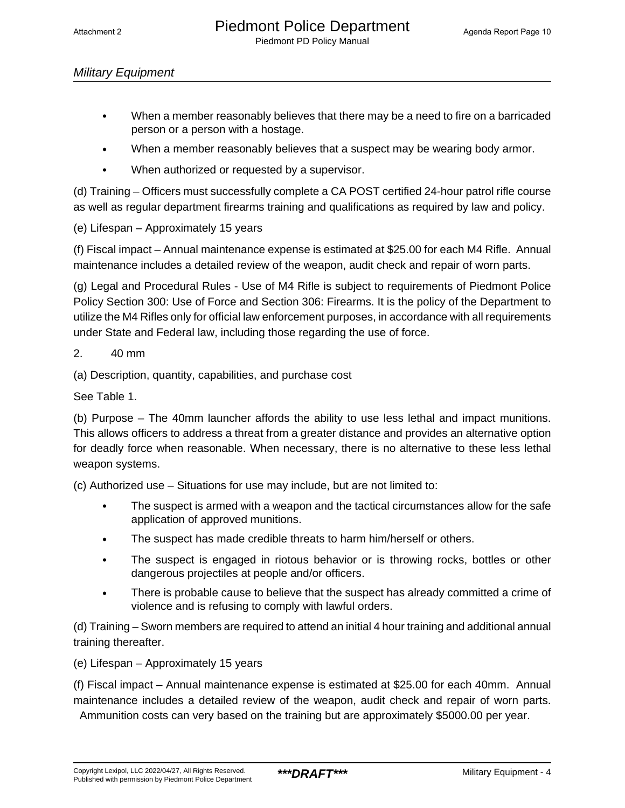- When a member reasonably believes that there may be a need to fire on a barricaded person or a person with a hostage.
- When a member reasonably believes that a suspect may be wearing body armor.
- When authorized or requested by a supervisor.

(d) Training – Officers must successfully complete a CA POST certified 24-hour patrol rifle course as well as regular department firearms training and qualifications as required by law and policy.

(e) Lifespan – Approximately 15 years

(f) Fiscal impact – Annual maintenance expense is estimated at \$25.00 for each M4 Rifle. Annual maintenance includes a detailed review of the weapon, audit check and repair of worn parts.

(g) Legal and Procedural Rules - Use of M4 Rifle is subject to requirements of Piedmont Police Policy Section 300: Use of Force and Section 306: Firearms. It is the policy of the Department to utilize the M4 Rifles only for official law enforcement purposes, in accordance with all requirements under State and Federal law, including those regarding the use of force.

2. 40 mm

(a) Description, quantity, capabilities, and purchase cost

See Table 1.

(b) Purpose – The 40mm launcher affords the ability to use less lethal and impact munitions. This allows officers to address a threat from a greater distance and provides an alternative option for deadly force when reasonable. When necessary, there is no alternative to these less lethal weapon systems.

(c) Authorized use – Situations for use may include, but are not limited to:

- The suspect is armed with a weapon and the tactical circumstances allow for the safe application of approved munitions.
- The suspect has made credible threats to harm him/herself or others.
- The suspect is engaged in riotous behavior or is throwing rocks, bottles or other dangerous projectiles at people and/or officers.
- There is probable cause to believe that the suspect has already committed a crime of violence and is refusing to comply with lawful orders.

(d) Training – Sworn members are required to attend an initial 4 hour training and additional annual training thereafter.

(e) Lifespan – Approximately 15 years

(f) Fiscal impact – Annual maintenance expense is estimated at \$25.00 for each 40mm. Annual maintenance includes a detailed review of the weapon, audit check and repair of worn parts.

Ammunition costs can very based on the training but are approximately \$5000.00 per year.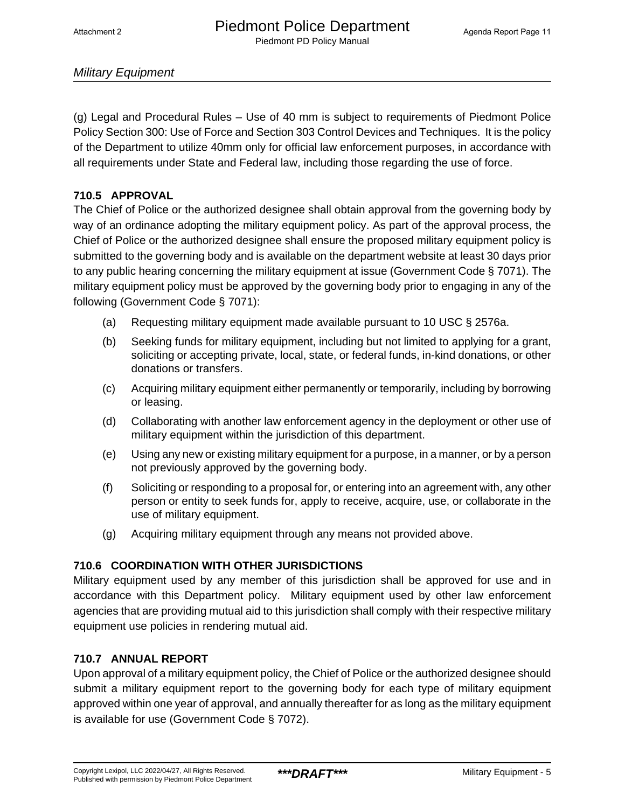(g) Legal and Procedural Rules – Use of 40 mm is subject to requirements of Piedmont Police Policy Section 300: Use of Force and Section 303 Control Devices and Techniques. It is the policy of the Department to utilize 40mm only for official law enforcement purposes, in accordance with all requirements under State and Federal law, including those regarding the use of force.

### **710.5 APPROVAL**

The Chief of Police or the authorized designee shall obtain approval from the governing body by way of an ordinance adopting the military equipment policy. As part of the approval process, the Chief of Police or the authorized designee shall ensure the proposed military equipment policy is submitted to the governing body and is available on the department website at least 30 days prior to any public hearing concerning the military equipment at issue (Government Code § 7071). The military equipment policy must be approved by the governing body prior to engaging in any of the following (Government Code § 7071):

- (a) Requesting military equipment made available pursuant to 10 USC § 2576a.
- (b) Seeking funds for military equipment, including but not limited to applying for a grant, soliciting or accepting private, local, state, or federal funds, in-kind donations, or other donations or transfers.
- (c) Acquiring military equipment either permanently or temporarily, including by borrowing or leasing.
- (d) Collaborating with another law enforcement agency in the deployment or other use of military equipment within the jurisdiction of this department.
- (e) Using any new or existing military equipment for a purpose, in a manner, or by a person not previously approved by the governing body.
- (f) Soliciting or responding to a proposal for, or entering into an agreement with, any other person or entity to seek funds for, apply to receive, acquire, use, or collaborate in the use of military equipment.
- (g) Acquiring military equipment through any means not provided above.

### **710.6 COORDINATION WITH OTHER JURISDICTIONS**

Military equipment used by any member of this jurisdiction shall be approved for use and in accordance with this Department policy. Military equipment used by other law enforcement agencies that are providing mutual aid to this jurisdiction shall comply with their respective military equipment use policies in rendering mutual aid.

### **710.7 ANNUAL REPORT**

Upon approval of a military equipment policy, the Chief of Police or the authorized designee should submit a military equipment report to the governing body for each type of military equipment approved within one year of approval, and annually thereafter for as long as the military equipment is available for use (Government Code § 7072).